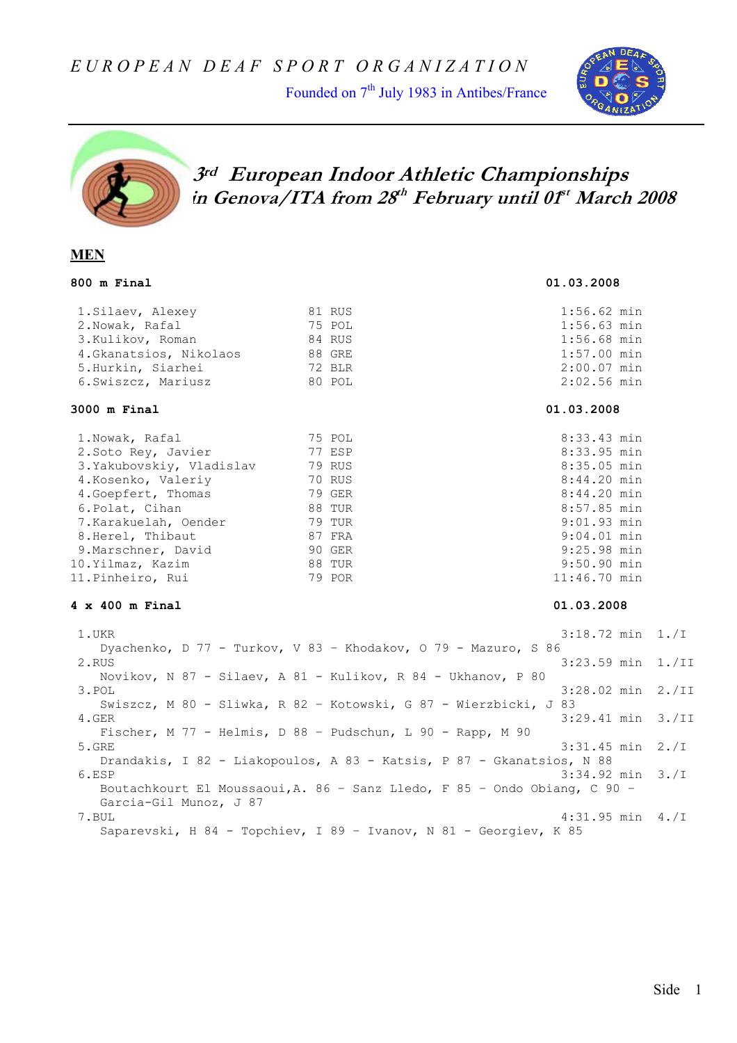Founded on  $7<sup>th</sup>$  July 1983 in Antibes/France





# **3rd European Indoor Athletic Championships in Genova/ITA from 28th February until 01st March 2008**

### **MEN**

| 1. Silaev, Alexey       | 81 RUS |
|-------------------------|--------|
| 2.Nowak, Rafal          | 75 POI |
| 3.Kulikov, Roman        | 84 RUS |
| 4. Gkanatsios, Nikolaos | 88 GRI |
| 5.Hurkin, Siarhei       | 72 BLI |
| 6. Swiszcz, Mariusz     | 80 POI |
|                         |        |

#### **3000 m Final 01.03.2008**

| 1. Nowak, Rafal          | 75 POL        |
|--------------------------|---------------|
| 2. Soto Rey, Javier      | 77 ESP        |
| 3.Yakubovskiy, Vladislav | 79 RUS        |
| 4. Kosenko, Valeriy      | 70 RUS        |
| 4. Goepfert, Thomas      | 79 GER        |
| 6. Polat, Cihan          | 88 TUR        |
| 7.Karakuelah, Oender     | <b>79 TUR</b> |
| 8. Herel, Thibaut        | 87 FRA        |
| 9. Marschner, David      | 90 GER        |
| 10.Yilmaz, Kazim         | 88 TUR        |
| 11.Pinheiro, Rui         | 79 POR        |
|                          |               |

### **4 x 400 m Final 01.03.2008**

 1.UKR 3:18.72 min 1./I Dyachenko, D 77 - Turkov, V 83 – Khodakov, O 79 - Mazuro, S 86 2.RUS 3:23.59 min 1./II Novikov, N 87 - Silaev, A 81 - Kulikov, R 84 - Ukhanov, P 80 3.POL 3:28.02 min 2./II Swiszcz, M 80 - Sliwka, R 82 – Kotowski, G 87 - Wierzbicki, J 83 4.GER 3:29.41 min 3./II Fischer, M 77 - Helmis, D 88 – Pudschun, L 90 - Rapp, M 90 5.GRE 3:31.45 min 2./I Drandakis, I 82 - Liakopoulos, A 83 - Katsis, P 87 - Gkanatsios, N 88 6.ESP  $3:34.92 \text{ min } 3./1$  Boutachkourt El Moussaoui,A. 86 – Sanz Lledo, F 85 – Ondo Obiang, C 90 – Garcia-Gil Munoz, J 87 7.BUL 4:31.95 min 4./I Saparevski, H 84 - Topchiev, I 89 – Ivanov, N 81 - Georgiev, K 85

**800 m Final 01.03.2008** 

s 1:56.62 min  $1:56.63$  min 3.Kulikov, Roman 84 RUS 1:56.68 min  $E = 1:57.00$  min R 2:00.07 min  $2:02.56$  min

8:33.43 min 8:33.95 min 8:35.05 min 8:44.20 min 8:44.20 min 8:57.85 min 9:01.93 min  $9:04.01$  min 9:25.98 min 9:50.90 min  $11:46.70$  min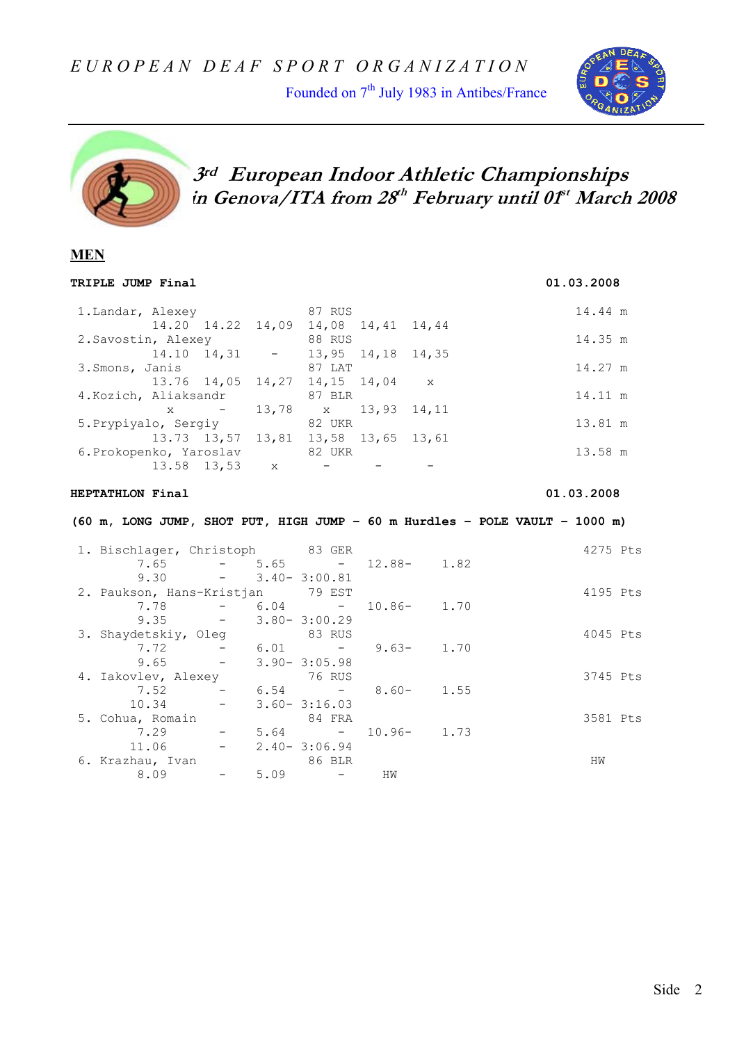Founded on 7<sup>th</sup> July 1983 in Antibes/France





 **3rd European Indoor Athletic Championships in Genova/ITA from 28th February until 01st March 2008** 

### **MEN**

| TRIPLE JUMP Final                                  |                                           |                              |                             | 01.03.2008                                                                  |
|----------------------------------------------------|-------------------------------------------|------------------------------|-----------------------------|-----------------------------------------------------------------------------|
| 1. Landar, Alexey 87 RUS                           |                                           |                              |                             | 14.44 m                                                                     |
|                                                    | 14.20 14.22 14,09 14,08 14,41 14,44       |                              |                             |                                                                             |
| 2. Savostin, Alexey                                |                                           | <b>Example 188 RUS</b>       |                             | 14.35 m                                                                     |
|                                                    | $14.10$ $14.31$ - $13.95$ $14.18$ $14.35$ |                              |                             |                                                                             |
| 3.Smons, Janis                                     |                                           | 87 LAT                       |                             | 14.27 m                                                                     |
|                                                    | 13.76 14,05                               | $14, 27$ $14, 15$ $14, 04$ x |                             |                                                                             |
| 4. Kozich, Aliaksandr                              |                                           | 87 BLR                       |                             | 14.11 m                                                                     |
|                                                    | $\mathbf{x}$ -                            | 13,78 x 13,93 14,11          |                             |                                                                             |
| 5. Prypiyalo, Sergiy 82 UKR                        |                                           |                              |                             | 13.81 m                                                                     |
|                                                    | 13.73 13,57 13,81 13,58 13,65 13,61       |                              |                             |                                                                             |
|                                                    |                                           |                              |                             | 13.58 m                                                                     |
| 6.Prokopenko, Yaroslav $82$ UKR<br>13.58 13,53 x - |                                           |                              |                             |                                                                             |
|                                                    |                                           |                              |                             |                                                                             |
| HEPTATHLON Final                                   |                                           |                              |                             | 01.03.2008                                                                  |
|                                                    |                                           |                              |                             | (60 m, LONG JUMP, SHOT PUT, HIGH JUMP - 60 m Hurdles - POLE VAULT - 1000 m) |
|                                                    |                                           |                              |                             |                                                                             |
| 1. Bischlager, Christoph 83 GER                    |                                           |                              |                             | 4275 Pts                                                                    |
|                                                    |                                           |                              | 7.65 - 5.65 - 12.88- 1.82   |                                                                             |
|                                                    | $9.30 - 3.40 - 3:00.81$                   |                              |                             |                                                                             |
| 2. Paukson, Hans-Kristjan 79 EST                   |                                           |                              |                             | 4195 Pts                                                                    |
|                                                    | $7.78 - 6.04 -$                           |                              | $10.86 - 1.70$              |                                                                             |
|                                                    |                                           |                              |                             |                                                                             |
|                                                    | $9.35 - 3.80 - 3.00.29$                   |                              |                             | 4045 Pts                                                                    |
| 3. Shaydetskiy, Oleg<br>7.72                       |                                           | 83 RUS                       |                             |                                                                             |
| 9.65                                               | $-3.90 - 3:05.98$                         |                              | $-6.01 - 9.63 - 1.70$       |                                                                             |
| 4. Iakovlev, Alexey 76 RUS                         |                                           |                              |                             | 3745 Pts                                                                    |
|                                                    |                                           |                              | $7.52 - 6.54 - 8.60 - 1.55$ |                                                                             |
| 10.34                                              | $-3.60 - 3:16.03$                         |                              |                             |                                                                             |
|                                                    |                                           | 84 FRA                       |                             | 3581 Pts                                                                    |
|                                                    |                                           |                              | $5.64$ - 10.96- 1.73        |                                                                             |
| 5. Cohua, Romain<br>7.29 -                         | $11.06 - 2.40 - 3:06.94$                  |                              |                             |                                                                             |
| 6. Krazhau, Ivan<br>8.09 -                         |                                           | 86 BLR                       |                             | HW                                                                          |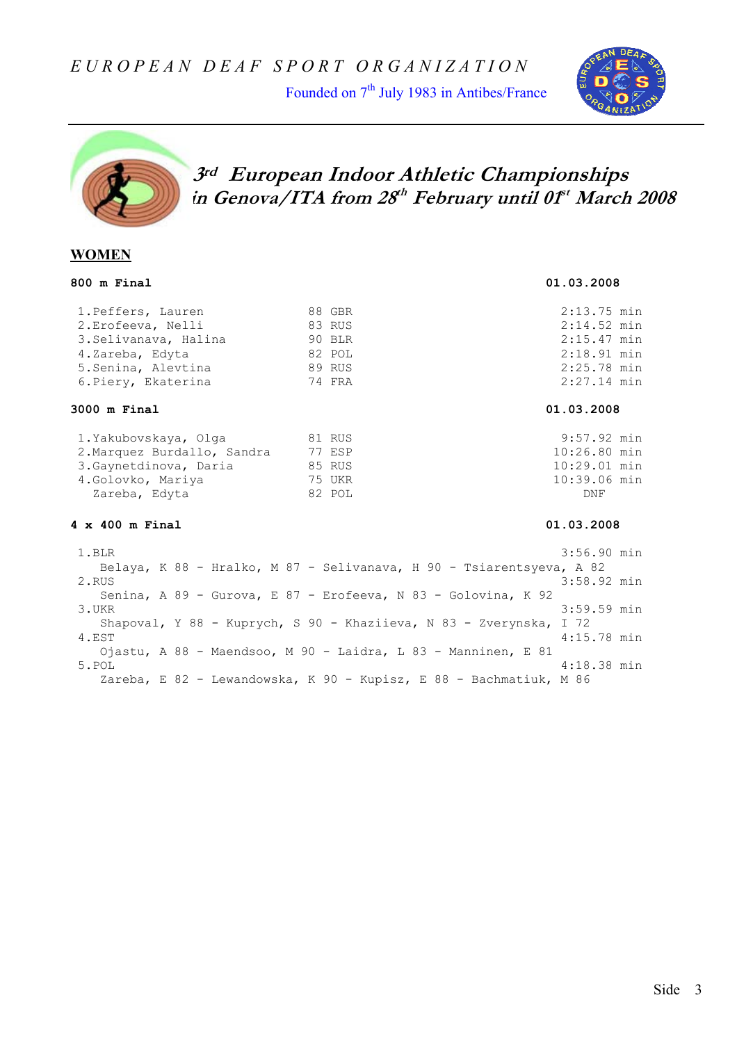Founded on  $7<sup>th</sup>$  July 1983 in Antibes/France





# **3rd European Indoor Athletic Championships in Genova/ITA from 28th February until 01st March 2008**

### **WOMEN**

### **800 m Final 01.03.2008**

### 1.Peffers, Lauren 88 GBR 2:13.75 min 2.Erofeeva, Nelli 83 RUS 2:14.52 min 3.Selivanava, Halina 90 BLR 2:15.47 min 4.Zareba, Edyta 82 POL 2:18.91 min 5.Senina, Alevtina 89 RUS 2:25.78 min 6.Piery, Ekaterina 74 FRA 2:27.14 min

#### **3000 m Final 01.03.2008**

| 1.Yakubovskaya, Olqa        | 81 RUS | 9:57.92  |
|-----------------------------|--------|----------|
| 2. Marquez Burdallo, Sandra | 77 ESP | 10:26.80 |
| 3. Gaynetdinova, Daria      | 85 RUS | 10:29.01 |
| 4. Golovko, Mariya          | 75 UKR | 10:39.06 |
| Zareba, Edyta               | 82 POL | DNF      |

#### **4 x 400 m Final 01.03.2008**

1.Yakubovska 81 Rusija 81 Rusija 81 Rusija 81 Rusija 81 Rusija 9:57.92 min P 10:26.80 min s 10:29.01 min 4.Goloven 10:39.06 min

 1.BLR 3:56.90 min Belaya, K 88 - Hralko, M 87 - Selivanava, H 90 - Tsiarentsyeva, A 82 2.RUS 3:58.92 min Senina, A 89 - Gurova, E 87 - Erofeeva, N 83 - Golovina, K 92 3.UKR 3:59.59 min Shapoval, Y 88 - Kuprych, S 90 - Khaziieva, N 83 - Zverynska, I 72 4.EST 4:15.78 min Ojastu, A 88 - Maendsoo, M 90 - Laidra, L 83 - Manninen, E 81 5.POL 4:18.38 min Zareba, E 82 - Lewandowska, K 90 - Kupisz, E 88 - Bachmatiuk, M 86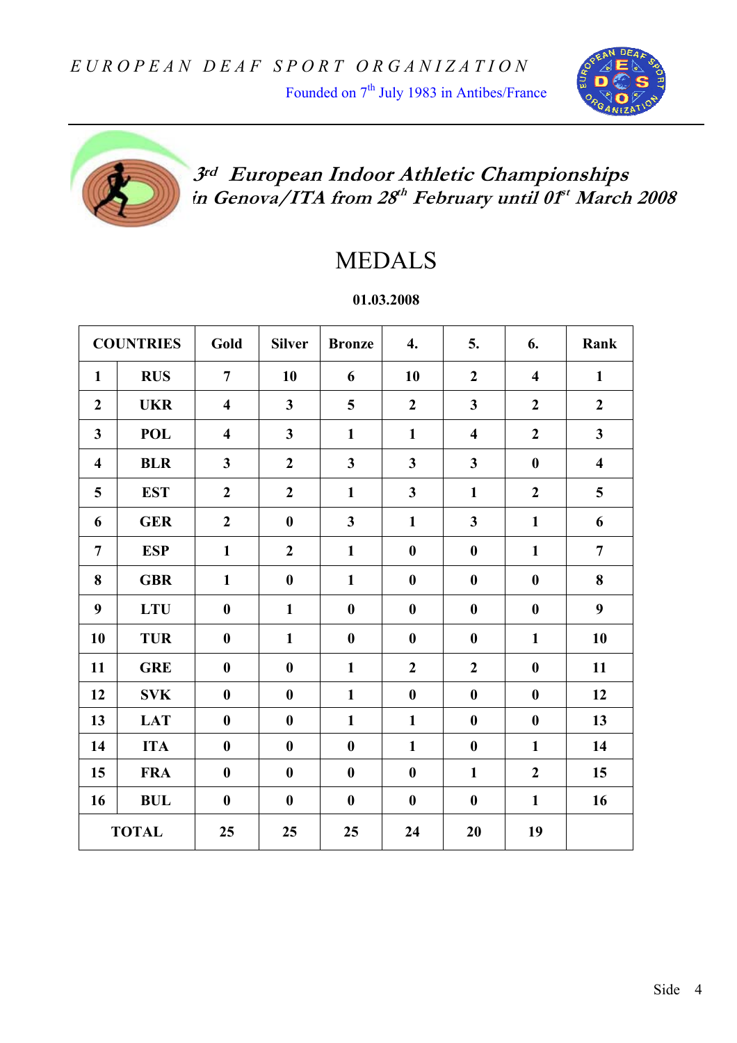Founded on 7<sup>th</sup> July 1983 in Antibes/France





# **3rd European Indoor Athletic Championships in Genova/ITA from 28th February until 01st March 2008**

# MEDALS

## **01.03.2008**

|                         | <b>COUNTRIES</b> | Gold                    | <b>Silver</b>    | <b>Bronze</b>           | 4.                      | 5.                      | 6.                      | Rank                    |
|-------------------------|------------------|-------------------------|------------------|-------------------------|-------------------------|-------------------------|-------------------------|-------------------------|
| $\mathbf{1}$            | <b>RUS</b>       | $\overline{7}$          | 10               | 6                       | 10                      | $\boldsymbol{2}$        | $\overline{\mathbf{4}}$ | $\mathbf{1}$            |
| $\overline{2}$          | <b>UKR</b>       | $\overline{\mathbf{4}}$ | $\mathbf{3}$     | 5                       | $\overline{2}$          | $\overline{\mathbf{3}}$ | $\overline{2}$          | $\boldsymbol{2}$        |
| $\overline{\mathbf{3}}$ | <b>POL</b>       | $\overline{\mathbf{4}}$ | 3                | $\mathbf{1}$            | $\mathbf{1}$            | $\overline{\mathbf{4}}$ | $\overline{2}$          | $\mathbf{3}$            |
| $\overline{\mathbf{4}}$ | <b>BLR</b>       | $\overline{\mathbf{3}}$ | $\overline{2}$   | $\overline{\mathbf{3}}$ | $\overline{\mathbf{3}}$ | $\overline{\mathbf{3}}$ | $\boldsymbol{0}$        | $\overline{\mathbf{4}}$ |
| 5                       | <b>EST</b>       | $\overline{2}$          | $\overline{2}$   | $\mathbf{1}$            | $\overline{\mathbf{3}}$ | $\mathbf{1}$            | $\boldsymbol{2}$        | 5                       |
| 6                       | <b>GER</b>       | $\overline{2}$          | $\boldsymbol{0}$ | $\overline{\mathbf{3}}$ | $\mathbf{1}$            | $\overline{\mathbf{3}}$ | $\mathbf{1}$            | 6                       |
| $\overline{7}$          | <b>ESP</b>       | $\mathbf{1}$            | $\overline{2}$   | $\mathbf{1}$            | $\boldsymbol{0}$        | $\boldsymbol{0}$        | $\mathbf{1}$            | $\overline{7}$          |
| 8                       | <b>GBR</b>       | $\mathbf{1}$            | $\boldsymbol{0}$ | $\mathbf{1}$            | $\boldsymbol{0}$        | $\boldsymbol{0}$        | $\boldsymbol{0}$        | 8                       |
| 9                       | <b>LTU</b>       | $\boldsymbol{0}$        | $\mathbf{1}$     | $\boldsymbol{0}$        | $\boldsymbol{0}$        | $\boldsymbol{0}$        | $\bf{0}$                | 9                       |
| 10                      | <b>TUR</b>       | $\boldsymbol{0}$        | $\mathbf{1}$     | $\boldsymbol{0}$        | $\boldsymbol{0}$        | $\boldsymbol{0}$        | $\mathbf{1}$            | 10                      |
| 11                      | <b>GRE</b>       | $\boldsymbol{0}$        | $\boldsymbol{0}$ | $\mathbf{1}$            | $\overline{2}$          | $\overline{2}$          | $\bf{0}$                | 11                      |
| 12                      | <b>SVK</b>       | $\bf{0}$                | $\bf{0}$         | $\mathbf{1}$            | $\boldsymbol{0}$        | $\bf{0}$                | $\bf{0}$                | 12                      |
| 13                      | <b>LAT</b>       | $\boldsymbol{0}$        | $\boldsymbol{0}$ | $\mathbf{1}$            | $\mathbf{1}$            | $\bf{0}$                | $\bf{0}$                | 13                      |
| 14                      | <b>ITA</b>       | $\boldsymbol{0}$        | $\boldsymbol{0}$ | $\boldsymbol{0}$        | $\mathbf{1}$            | $\boldsymbol{0}$        | $\mathbf{1}$            | 14                      |
| 15                      | <b>FRA</b>       | $\boldsymbol{0}$        | $\boldsymbol{0}$ | $\boldsymbol{0}$        | $\boldsymbol{0}$        | $\mathbf{1}$            | $\overline{2}$          | 15                      |
| 16                      | <b>BUL</b>       | $\bf{0}$                | $\boldsymbol{0}$ | $\boldsymbol{0}$        | $\boldsymbol{0}$        | $\boldsymbol{0}$        | $\mathbf{1}$            | 16                      |
|                         | <b>TOTAL</b>     | 25                      | 25               | 25                      | 24                      | 20                      | 19                      |                         |